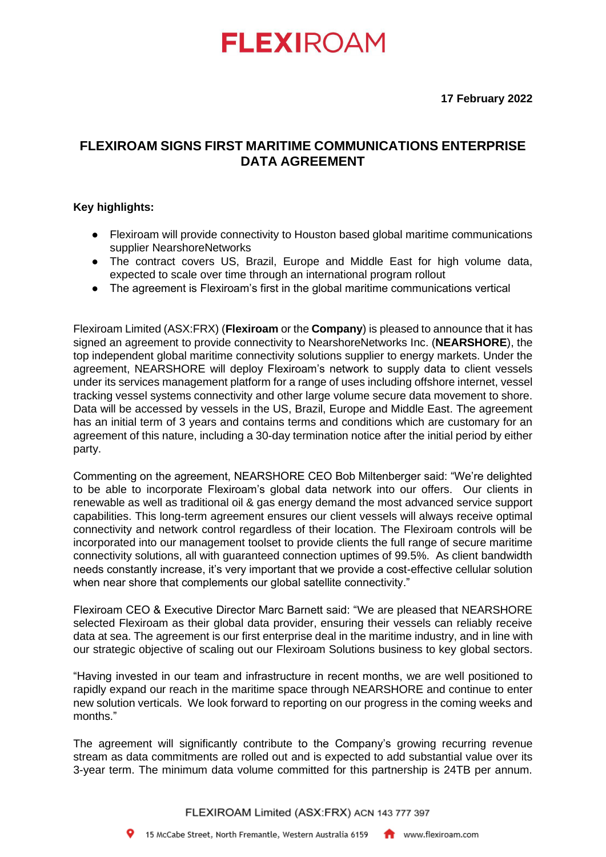# **FLEXIROAM**

**17 February 2022**

# **FLEXIROAM SIGNS FIRST MARITIME COMMUNICATIONS ENTERPRISE DATA AGREEMENT**

## **Key highlights:**

- Flexiroam will provide connectivity to Houston based global maritime communications supplier NearshoreNetworks
- The contract covers US, Brazil, Europe and Middle East for high volume data, expected to scale over time through an international program rollout
- The agreement is Flexiroam's first in the global maritime communications vertical

Flexiroam Limited (ASX:FRX) (**Flexiroam** or the **Company**) is pleased to announce that it has signed an agreement to provide connectivity to NearshoreNetworks Inc. (**NEARSHORE**), the top independent global maritime connectivity solutions supplier to energy markets. Under the agreement, NEARSHORE will deploy Flexiroam's network to supply data to client vessels under its services management platform for a range of uses including offshore internet, vessel tracking vessel systems connectivity and other large volume secure data movement to shore. Data will be accessed by vessels in the US, Brazil, Europe and Middle East. The agreement has an initial term of 3 years and contains terms and conditions which are customary for an agreement of this nature, including a 30-day termination notice after the initial period by either party.

Commenting on the agreement, NEARSHORE CEO Bob Miltenberger said: "We're delighted to be able to incorporate Flexiroam's global data network into our offers. Our clients in renewable as well as traditional oil & gas energy demand the most advanced service support capabilities. This long-term agreement ensures our client vessels will always receive optimal connectivity and network control regardless of their location. The Flexiroam controls will be incorporated into our management toolset to provide clients the full range of secure maritime connectivity solutions, all with guaranteed connection uptimes of 99.5%. As client bandwidth needs constantly increase, it's very important that we provide a cost-effective cellular solution when near shore that complements our global satellite connectivity."

Flexiroam CEO & Executive Director Marc Barnett said: "We are pleased that NEARSHORE selected Flexiroam as their global data provider, ensuring their vessels can reliably receive data at sea. The agreement is our first enterprise deal in the maritime industry, and in line with our strategic objective of scaling out our Flexiroam Solutions business to key global sectors.

"Having invested in our team and infrastructure in recent months, we are well positioned to rapidly expand our reach in the maritime space through NEARSHORE and continue to enter new solution verticals. We look forward to reporting on our progress in the coming weeks and months."

The agreement will significantly contribute to the Company's growing recurring revenue stream as data commitments are rolled out and is expected to add substantial value over its 3-year term. The minimum data volume committed for this partnership is 24TB per annum.

FLEXIROAM Limited (ASX:FRX) ACN 143 777 397